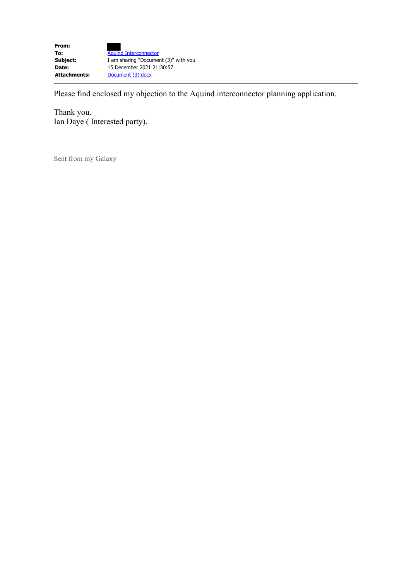

Please find enclosed my objection to the Aquind interconnector planning application.

Thank you. Ian Daye ( Interested party).

Sent from my Galaxy